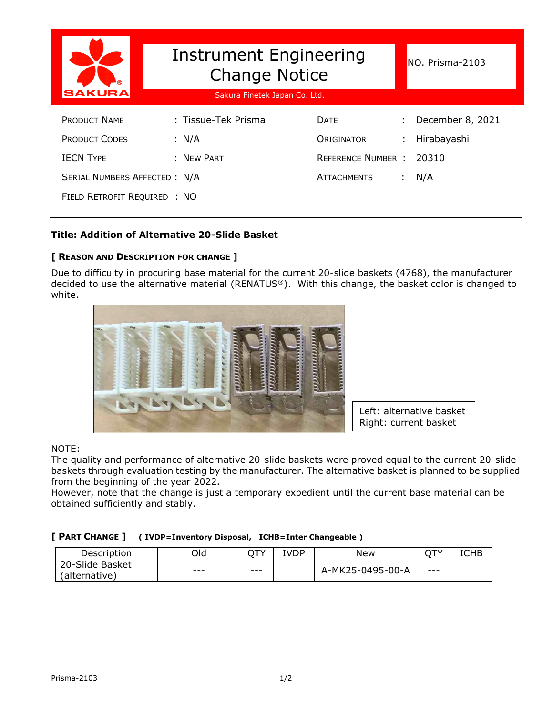| SAKURA                              | Instrument Engineering<br><b>Change Notice</b><br>Sakura Finetek Japan Co. Ltd. | NO. Prisma-2103          |                  |
|-------------------------------------|---------------------------------------------------------------------------------|--------------------------|------------------|
| <b>PRODUCT NAME</b>                 | : Tissue-Tek Prisma                                                             | <b>DATE</b>              | December 8, 2021 |
| <b>PRODUCT CODES</b>                | : N/A                                                                           | ORIGINATOR               | Hirabayashi      |
| <b>IECN TYPE</b>                    | : NEW PART                                                                      | <b>REFERENCE NUMBER:</b> | 20310            |
| <b>SERIAL NUMBERS AFFECTED: N/A</b> |                                                                                 | <b>ATTACHMENTS</b>       | N/A              |
| FIELD RETROFIT REQUIRED : NO        |                                                                                 |                          |                  |

# **Title: Addition of Alternative 20-Slide Basket**

# **[ REASON AND DESCRIPTION FOR CHANGE ]**

Due to difficulty in procuring base material for the current 20-slide baskets (4768), the manufacturer decided to use the alternative material (RENATUS®). With this change, the basket color is changed to white.



Left: alternative basket Right: current basket

### NOTE:

The quality and performance of alternative 20-slide baskets were proved equal to the current 20-slide baskets through evaluation testing by the manufacturer. The alternative basket is planned to be supplied from the beginning of the year 2022.

However, note that the change is just a temporary expedient until the current base material can be obtained sufficiently and stably.

### **[ PART CHANGE ] ( IVDP=Inventory Disposal, ICHB=Inter Changeable )**

| Description                      | Old     | ⌒⊤∿     | IVDP | New              | ↷᠇      | <b>ICHB</b> |
|----------------------------------|---------|---------|------|------------------|---------|-------------|
| 20-Slide Basket<br>(alternative) | $- - -$ | $- - -$ |      | A-MK25-0495-00-A | $- - -$ |             |